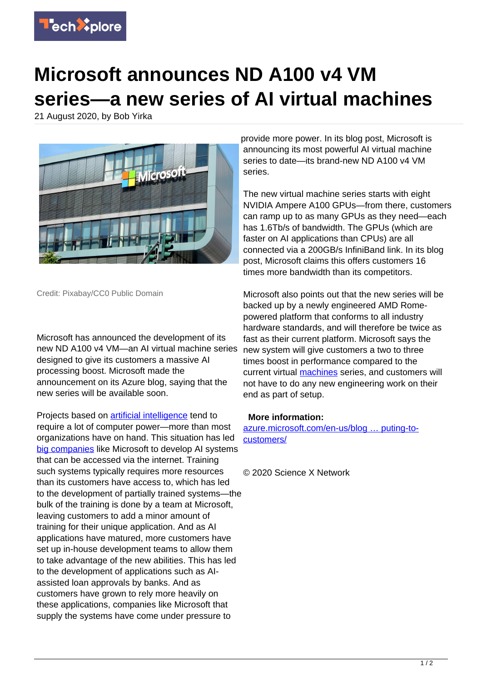

## **Microsoft announces ND A100 v4 VM series—a new series of AI virtual machines**

21 August 2020, by Bob Yirka



Credit: Pixabay/CC0 Public Domain

Microsoft has announced the development of its new ND A100 v4 VM—an AI virtual machine series designed to give its customers a massive AI processing boost. Microsoft made the announcement on its Azure blog, saying that the new series will be available soon.

Projects based on [artificial intelligence](https://techxplore.com/tags/artificial+intelligence/) tend to require a lot of computer power—more than most organizations have on hand. This situation has led [big companies](https://techxplore.com/tags/big+companies/) like Microsoft to develop AI systems that can be accessed via the internet. Training such systems typically requires more resources than its customers have access to, which has led to the development of partially trained systems—the bulk of the training is done by a team at Microsoft, leaving customers to add a minor amount of training for their unique application. And as AI applications have matured, more customers have set up in-house development teams to allow them to take advantage of the new abilities. This has led to the development of applications such as AIassisted loan approvals by banks. And as customers have grown to rely more heavily on these applications, companies like Microsoft that supply the systems have come under pressure to

provide more power. In its blog post, Microsoft is announcing its most powerful AI virtual machine series to date—its brand-new ND A100 v4 VM series.

The new virtual machine series starts with eight NVIDIA Ampere A100 GPUs—from there, customers can ramp up to as many GPUs as they need—each has 1.6Tb/s of bandwidth. The GPUs (which are faster on AI applications than CPUs) are all connected via a 200GB/s InfiniBand link. In its blog post, Microsoft claims this offers customers 16 times more bandwidth than its competitors.

Microsoft also points out that the new series will be backed up by a newly engineered AMD Romepowered platform that conforms to all industry hardware standards, and will therefore be twice as fast as their current platform. Microsoft says the new system will give customers a two to three times boost in performance compared to the current virtual [machines](https://techxplore.com/tags/machines/) series, and customers will not have to do any new engineering work on their end as part of setup.

## **More information:**

[azure.microsoft.com/en-us/blog … puting-to](https://azure.microsoft.com/en-us/blog/bringing-ai-supercomputing-to-customers/)[customers/](https://azure.microsoft.com/en-us/blog/bringing-ai-supercomputing-to-customers/)

© 2020 Science X Network